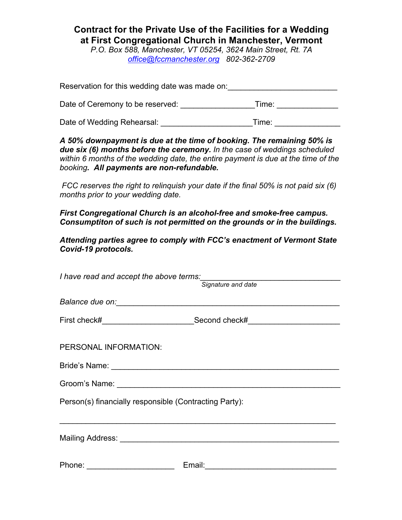## **Contract for the Private Use of the Facilities for a Wedding at First Congregational Church in Manchester, Vermont**

*P.O. Box 588, Manchester, VT 05254, 3624 Main Street, Rt. 7A office@fccmanchester.org 802-362-2709*

Reservation for this wedding date was made on: Date of Ceremony to be reserved: \_\_\_\_\_\_\_\_\_\_\_\_\_\_\_\_\_Time: \_\_\_\_\_\_\_\_\_\_\_\_\_\_ Date of Wedding Rehearsal: **Example 20** Time:

*A 50% downpayment is due at the time of booking. The remaining 50% is due six (6) months before the ceremony. In the case of weddings scheduled within 6 months of the wedding date, the entire payment is due at the time of the booking. All payments are non-refundable.*

*FCC reserves the right to relinquish your date if the final 50% is not paid six (6) months prior to your wedding date.*

*First Congregational Church is an alcohol-free and smoke-free campus. Consumptiton of such is not permitted on the grounds or in the buildings.*

*Attending parties agree to comply with FCC's enactment of Vermont State Covid-19 protocols.*

| I have read and accept the above terms:<br>Signature and date |                                                                                  |  |
|---------------------------------------------------------------|----------------------------------------------------------------------------------|--|
|                                                               |                                                                                  |  |
|                                                               |                                                                                  |  |
|                                                               | First check#______________________________Second check#_________________________ |  |
| PERSONAL INFORMATION:                                         |                                                                                  |  |
|                                                               |                                                                                  |  |
|                                                               |                                                                                  |  |
| Person(s) financially responsible (Contracting Party):        |                                                                                  |  |
|                                                               |                                                                                  |  |
| Phone: ________________________                               |                                                                                  |  |